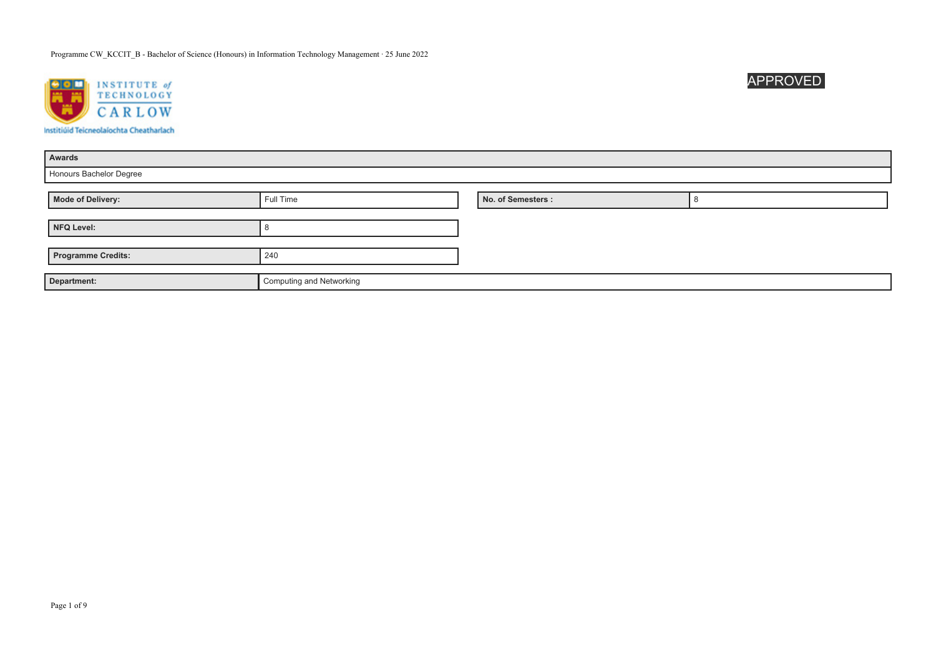

| Awards                    |                          |                    |  |
|---------------------------|--------------------------|--------------------|--|
| Honours Bachelor Degree   |                          |                    |  |
|                           |                          |                    |  |
| Mode of Delivery:         | Full Time                | No. of Semesters : |  |
|                           |                          |                    |  |
| NFQ Level:                |                          |                    |  |
|                           |                          |                    |  |
| <b>Programme Credits:</b> | 240                      |                    |  |
|                           |                          |                    |  |
| Department:               | Computing and Networking |                    |  |

APPROVED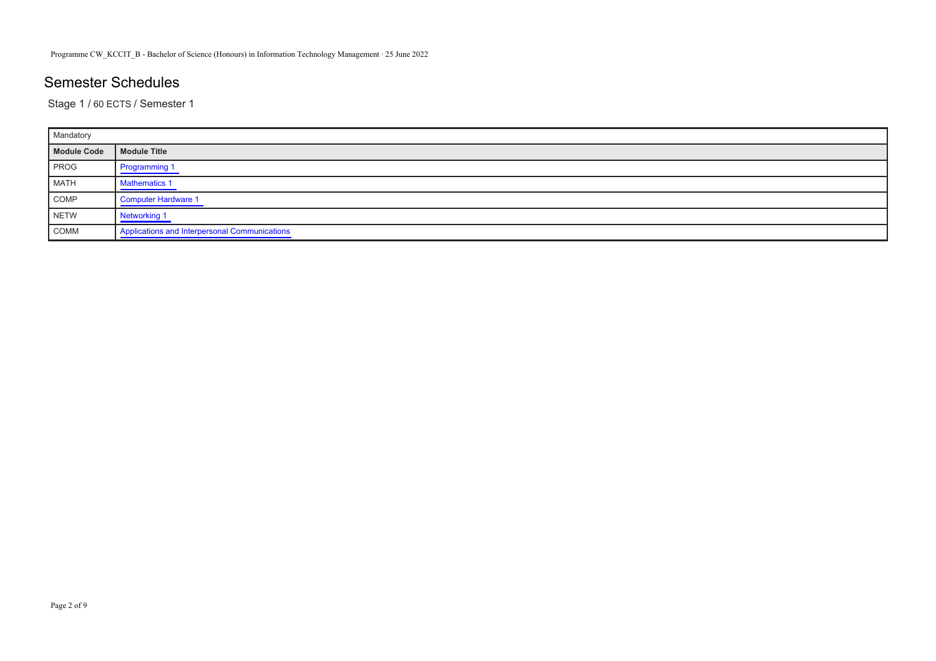# Semester Schedules

Stage 1 / 60 ECTS / Semester 1

| Mandatory   |                                               |
|-------------|-----------------------------------------------|
| Module Code | Module Title                                  |
| <b>PROG</b> | Programming 1                                 |
| MATH        | <b>Mathematics 1</b>                          |
| COMP        | Computer Hardware 1                           |
| NETW        | Networking 1                                  |
| COMM        | Applications and Interpersonal Communications |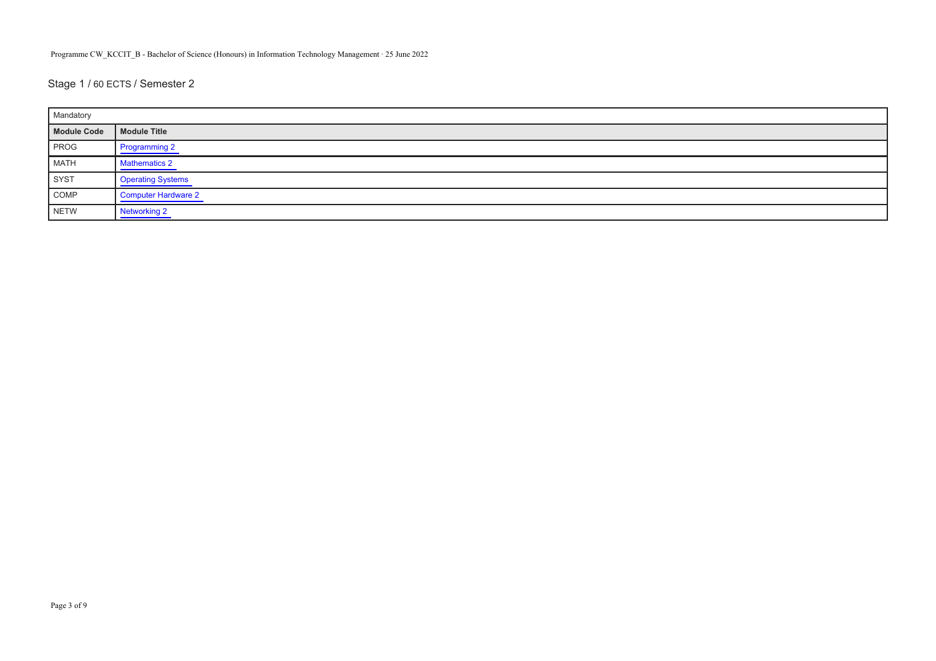Stage 1 / 60 ECTS / Semester 2

| Mandatory   |                          |
|-------------|--------------------------|
| Module Code | Module Title             |
| PROG        | Programming 2            |
| MATH        | <b>Mathematics 2</b>     |
| SYST        | <b>Operating Systems</b> |
| COMP        | Computer Hardware 2      |
| NETW        | Networking 2             |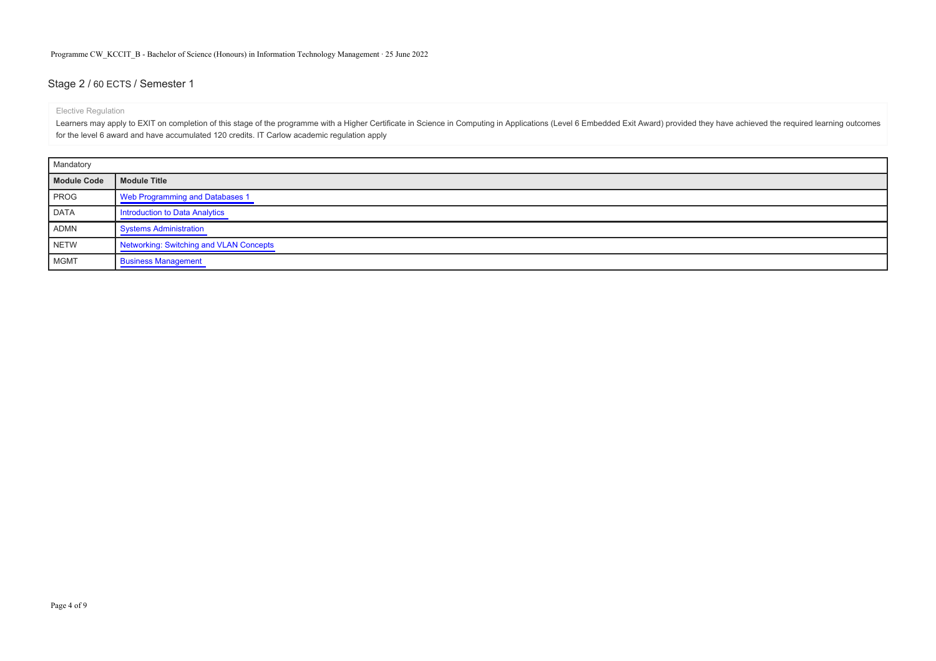### Stage 2 / 60 ECTS / Semester 1

#### Elective Regulation

Learners may apply to EXIT on completion of this stage of the programme with a Higher Certificate in Science in Computing in Applications (Level 6 Embedded Exit Award) provided they have achieved the required learning outc for the level 6 award and have accumulated 120 credits. IT Carlow academic regulation apply

| Mandatory   |                                         |
|-------------|-----------------------------------------|
| Module Code | Module Title                            |
| PROG        | Web Programming and Databases 1         |
| DATA        | Introduction to Data Analytics          |
| <b>ADMN</b> | Systems Administration                  |
| <b>NETW</b> | Networking: Switching and VLAN Concepts |
| <b>MGMT</b> | <b>Business Management</b>              |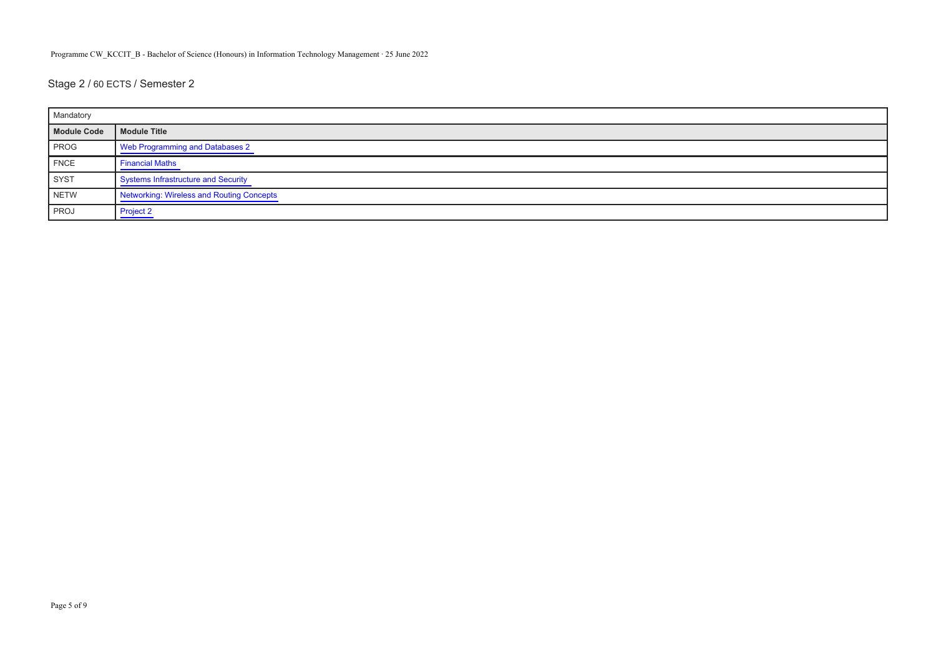# Stage 2 / 60 ECTS / Semester 2

| Mandatory   |                                           |
|-------------|-------------------------------------------|
| Module Code | Module Title                              |
| <b>PROG</b> | Web Programming and Databases 2           |
| FNCE        | <b>Financial Maths</b>                    |
| SYST        | Systems Infrastructure and Security       |
| NETW        | Networking: Wireless and Routing Concepts |
| <b>PROJ</b> | <b>Project 2</b>                          |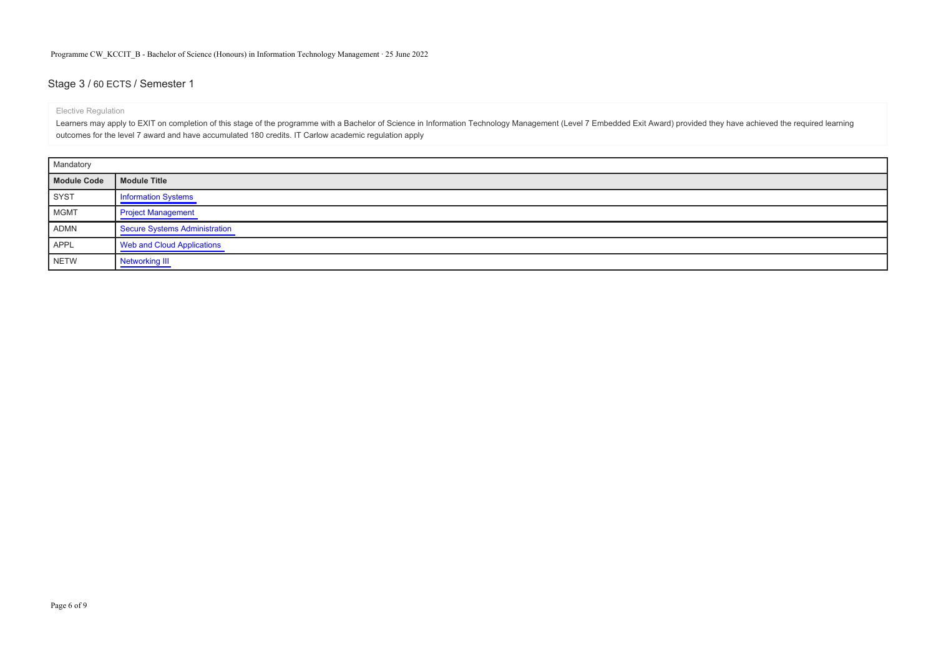### Stage 3 / 60 ECTS / Semester 1

#### Elective Regulation

Learners may apply to EXIT on completion of this stage of the programme with a Bachelor of Science in Information Technology Management (Level 7 Embedded Exit Award) provided they have achieved the required learning outcomes for the level 7 award and have accumulated 180 credits. IT Carlow academic regulation apply

| Mandatory   |                               |
|-------------|-------------------------------|
| Module Code | Module Title                  |
| SYST        | <b>Information Systems</b>    |
| MGMT        | <b>Project Management</b>     |
| ADMN        | Secure Systems Administration |
| APPL        | Web and Cloud Applications    |
| <b>NETW</b> | Networking III                |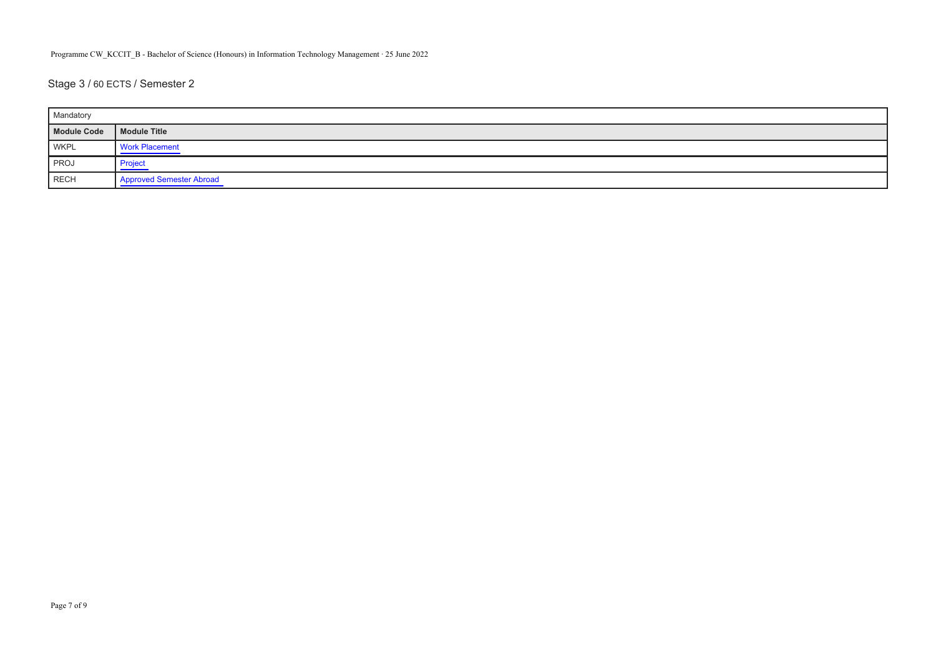# Stage 3 / 60 ECTS / Semester 2

| Mandatory   |                                 |
|-------------|---------------------------------|
| Module Code | Module Title                    |
| <b>WKPL</b> | <b>Work Placement</b>           |
| <b>PROJ</b> | <b>Project</b>                  |
| RECH        | <b>Approved Semester Abroad</b> |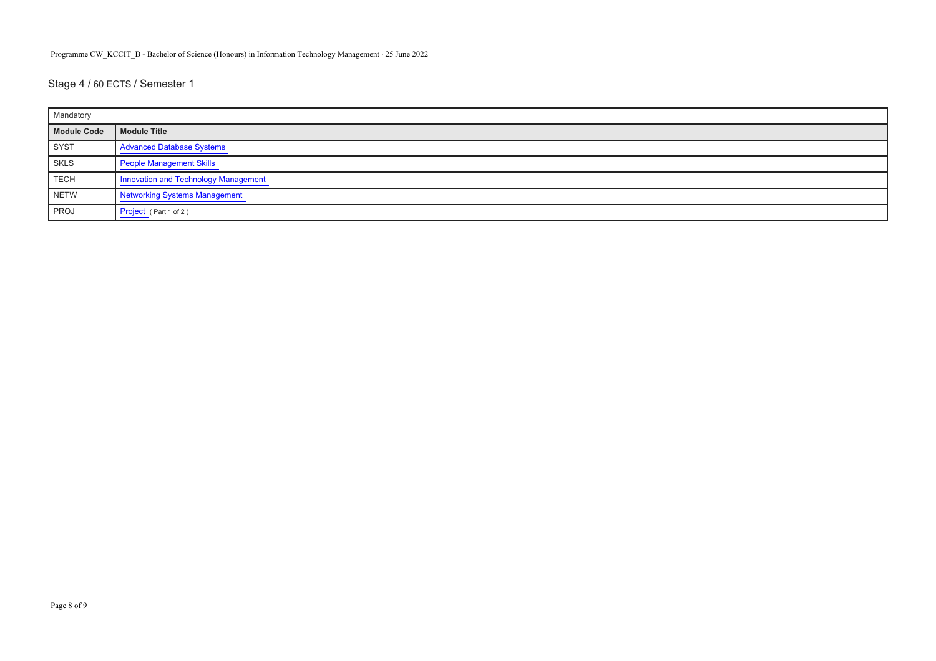Stage 4 / 60 ECTS / Semester 1

| Mandatory   |                                      |
|-------------|--------------------------------------|
| Module Code | Module Title                         |
| SYST        | <b>Advanced Database Systems</b>     |
| SKLS        | <b>People Management Skills</b>      |
| TECH        | Innovation and Technology Management |
| NETW        | <b>Networking Systems Management</b> |
| PROJ        | Project (Part 1 of 2)                |